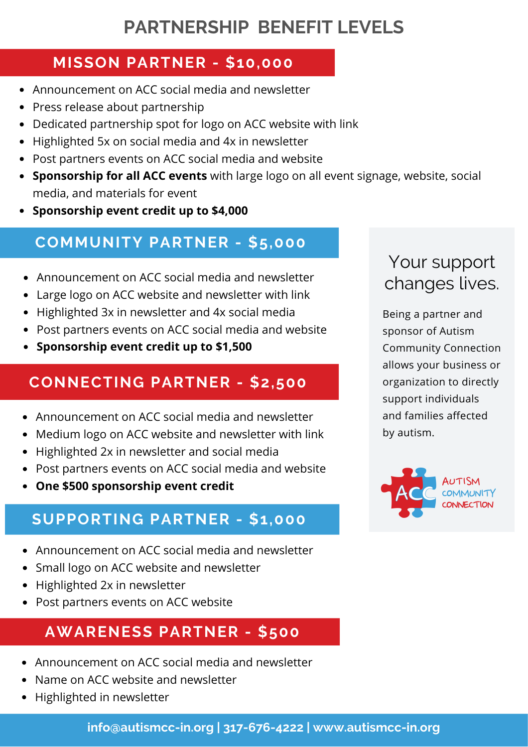# **PARTNERSHIP BENEFIT LEVELS**

## **MISSON PARTNER - \$10,000**

- Announcement on ACC social media and newsletter
- Press release about partnership
- Dedicated partnership spot for logo on ACC website with link
- Highlighted 5x on social media and 4x in newsletter
- Post partners events on ACC social media and website
- **Sponsorship for all ACC events** with large logo on all event signage, website, social media, and materials for event
- **Sponsorship event credit up to \$4,000**

# **COMMUNITY PARTNER - \$5,000**

- Announcement on ACC social media and newsletter
- Large logo on ACC website and newsletter with link
- Highlighted 3x in newsletter and 4x social media
- Post partners events on ACC social media and website
- **Sponsorship event credit up to \$1,500**

# **CONNECTING PARTNER - \$2,500**

- Announcement on ACC social media and newsletter
- Medium logo on ACC website and newsletter with link
- Highlighted 2x in newsletter and social media
- Post partners events on ACC social media and website
- **One \$500 sponsorship event credit**

# **SUPPORTING PARTNER - \$1,000**

- Announcement on ACC social media and newsletter
- Small logo on ACC website and newsletter
- Highlighted 2x in newsletter
- Post partners events on ACC website

## **AWARENESS PARTNER - \$500**

- Announcement on ACC social media and newsletter
- Name on ACC website and newsletter
- Highlighted in newsletter

# Your support changes lives.

Being a partner and sponsor of Autism Community Connection allows your business or organization to directly support individuals and families affected by autism.

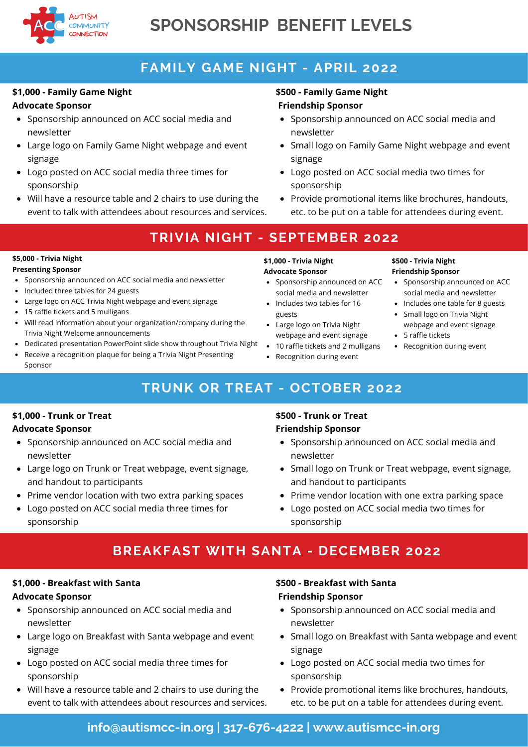

# **SPONSORSHIP BENEFIT LEVELS**

## **FAMILY GAME NIGHT - APRIL 2022**

#### **\$1,000 - Family Game Night Advocate Sponsor**

- Sponsorship announced on ACC social media and newsletter
- Large logo on Family Game Night webpage and event signage
- Logo posted on ACC social media three times for sponsorship
- Will have a resource table and 2 chairs to use during the event to talk with attendees about resources and services.

### **\$500 - Family Game Night Friendship Sponsor**

- Sponsorship announced on ACC social media and newsletter
- Small logo on Family Game Night webpage and event signage
- Logo posted on ACC social media two times for sponsorship
- Provide promotional items like brochures, handouts, etc. to be put on a table for attendees during event.

## **TRIVIA NIGHT - SEPTEMBER 2022**

### **\$5,000 - Trivia Night**

### **Presenting Sponsor**

- Sponsorship announced on ACC social media and newsletter • Included three tables for 24 guests
- Large logo on ACC Trivia Night webpage and event signage
- 15 raffle tickets and 5 mulligans
- Will read information about your organization/company during the Trivia Night Welcome announcements
- Dedicated presentation PowerPoint slide show throughout Trivia Night
- Receive a recognition plaque for being a Trivia Night Presenting Sponsor

#### **\$1,000 - Trivia Night Advocate Sponsor**

- Sponsorship announced on ACC social media and newsletter
- guests
- webpage and event signage
- 10 raffle tickets and 2 mulligans
- Recognition during event

#### **\$500 - Trivia Night Friendship Sponsor**

- Sponsorship announced on ACC social media and newsletter
- Includes one table for 8 guests
- Small logo on Trivia Night webpage and event signage
- 5 raffle tickets
- Recognition during event

## **TRUNK OR TREAT - OCTOBER 2022**

### **\$1,000 - Trunk or Treat**

### **Advocate Sponsor**

- Sponsorship announced on ACC social media and newsletter
- Large logo on Trunk or Treat webpage, event signage, and handout to participants
- Prime vendor location with two extra parking spaces
- Logo posted on ACC social media three times for sponsorship

### **\$500 - Trunk or Treat Friendship Sponsor**

- Sponsorship announced on ACC social media and newsletter
- Small logo on Trunk or Treat webpage, event signage, and handout to participants
- Prime vendor location with one extra parking space
- Logo posted on ACC social media two times for sponsorship

## **BREAKFAST WITH SANTA - DECEMBER 2022**

### **\$1,000 - Breakfast with Santa**

### **Advocate Sponsor**

- Sponsorship announced on ACC social media and newsletter
- Large logo on Breakfast with Santa webpage and event signage
- Logo posted on ACC social media three times for sponsorship
- Will have a resource table and 2 chairs to use during the event to talk with attendees about resources and services.

### **\$500 - Breakfast with Santa Friendship Sponsor**

- Sponsorship announced on ACC social media and newsletter
- Small logo on Breakfast with Santa webpage and event signage
- Logo posted on ACC social media two times for sponsorship
- Provide promotional items like brochures, handouts, etc. to be put on a table for attendees during event.

## **info@autismcc-in.org | 317-676-4222 | www.autismcc-in.org**

# • Includes two tables for 16

- Large logo on Trivia Night
- 
-